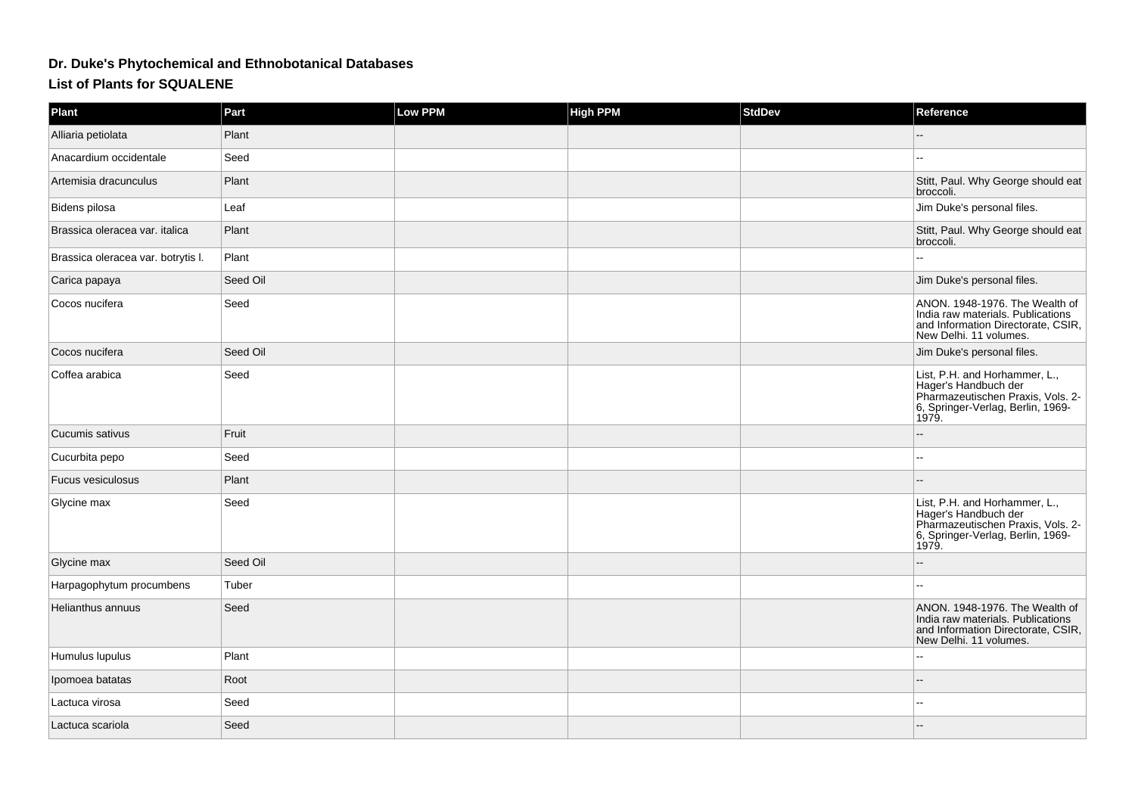## **Dr. Duke's Phytochemical and Ethnobotanical Databases**

## **List of Plants for SQUALENE**

| Plant                              | Part     | Low PPM | <b>High PPM</b> | <b>StdDev</b> | Reference                                                                                                                                |
|------------------------------------|----------|---------|-----------------|---------------|------------------------------------------------------------------------------------------------------------------------------------------|
| Alliaria petiolata                 | Plant    |         |                 |               |                                                                                                                                          |
| Anacardium occidentale             | Seed     |         |                 |               | --                                                                                                                                       |
| Artemisia dracunculus              | Plant    |         |                 |               | Stitt, Paul. Why George should eat<br>broccoli.                                                                                          |
| Bidens pilosa                      | Leaf     |         |                 |               | Jim Duke's personal files.                                                                                                               |
| Brassica oleracea var. italica     | Plant    |         |                 |               | Stitt, Paul. Why George should eat<br>broccoli.                                                                                          |
| Brassica oleracea var. botrytis I. | Plant    |         |                 |               |                                                                                                                                          |
| Carica papaya                      | Seed Oil |         |                 |               | Jim Duke's personal files.                                                                                                               |
| Cocos nucifera                     | Seed     |         |                 |               | ANON. 1948-1976. The Wealth of<br>India raw materials. Publications<br>and Information Directorate, CSIR,<br>New Delhi. 11 volumes.      |
| Cocos nucifera                     | Seed Oil |         |                 |               | Jim Duke's personal files.                                                                                                               |
| Coffea arabica                     | Seed     |         |                 |               | List, P.H. and Horhammer, L.,<br>Hager's Handbuch der<br>Pharmazeutischen Praxis, Vols. 2-<br>6, Springer-Verlag, Berlin, 1969-<br>1979. |
| Cucumis sativus                    | Fruit    |         |                 |               |                                                                                                                                          |
| Cucurbita pepo                     | Seed     |         |                 |               | --                                                                                                                                       |
| Fucus vesiculosus                  | Plant    |         |                 |               |                                                                                                                                          |
| Glycine max                        | Seed     |         |                 |               | List, P.H. and Horhammer, L.,<br>Hager's Handbuch der<br>Pharmazeutischen Praxis, Vols. 2-<br>6, Springer-Verlag, Berlin, 1969-<br>1979. |
| Glycine max                        | Seed Oil |         |                 |               |                                                                                                                                          |
| Harpagophytum procumbens           | Tuber    |         |                 |               |                                                                                                                                          |
| Helianthus annuus                  | Seed     |         |                 |               | ANON, 1948-1976. The Wealth of<br>India raw materials. Publications<br>and Information Directorate, CSIR,<br>New Delhi. 11 volumes.      |
| Humulus lupulus                    | Plant    |         |                 |               |                                                                                                                                          |
| Ipomoea batatas                    | Root     |         |                 |               |                                                                                                                                          |
| Lactuca virosa                     | Seed     |         |                 |               |                                                                                                                                          |
| Lactuca scariola                   | Seed     |         |                 |               |                                                                                                                                          |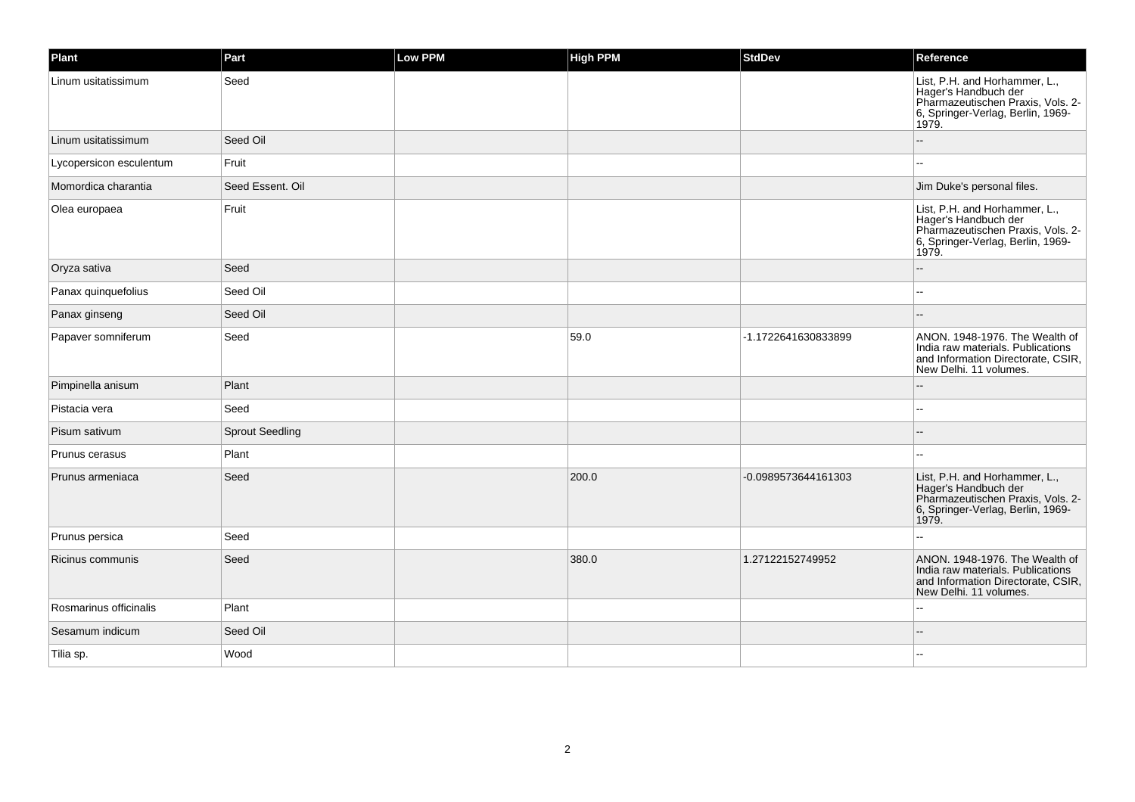| Plant                   | Part                   | <b>Low PPM</b> | <b>High PPM</b> | <b>StdDev</b>       | Reference                                                                                                                                |
|-------------------------|------------------------|----------------|-----------------|---------------------|------------------------------------------------------------------------------------------------------------------------------------------|
| Linum usitatissimum     | Seed                   |                |                 |                     | List, P.H. and Horhammer, L.,<br>Hager's Handbuch der<br>Pharmazeutischen Praxis, Vols. 2-<br>6, Springer-Verlag, Berlin, 1969-<br>1979. |
| Linum usitatissimum     | Seed Oil               |                |                 |                     |                                                                                                                                          |
| Lycopersicon esculentum | Fruit                  |                |                 |                     | $\sim$                                                                                                                                   |
| Momordica charantia     | Seed Essent, Oil       |                |                 |                     | Jim Duke's personal files.                                                                                                               |
| Olea europaea           | Fruit                  |                |                 |                     | List, P.H. and Horhammer, L.,<br>Hager's Handbuch der<br>Pharmazeutischen Praxis, Vols. 2-<br>6, Springer-Verlag, Berlin, 1969-<br>1979. |
| Oryza sativa            | Seed                   |                |                 |                     |                                                                                                                                          |
| Panax quinquefolius     | Seed Oil               |                |                 |                     |                                                                                                                                          |
| Panax ginseng           | Seed Oil               |                |                 |                     |                                                                                                                                          |
| Papaver somniferum      | Seed                   |                | 59.0            | -1.1722641630833899 | ANON. 1948-1976. The Wealth of<br>India raw materials. Publications<br>and Information Directorate, CSIR,<br>New Delhi. 11 volumes.      |
| Pimpinella anisum       | Plant                  |                |                 |                     |                                                                                                                                          |
| Pistacia vera           | Seed                   |                |                 |                     |                                                                                                                                          |
| Pisum sativum           | <b>Sprout Seedling</b> |                |                 |                     |                                                                                                                                          |
| Prunus cerasus          | Plant                  |                |                 |                     |                                                                                                                                          |
| Prunus armeniaca        | Seed                   |                | 200.0           | -0.0989573644161303 | List, P.H. and Horhammer, L.,<br>Hager's Handbuch der<br>Pharmazeutischen Praxis, Vols. 2-<br>6, Springer-Verlag, Berlin, 1969-<br>1979. |
| Prunus persica          | Seed                   |                |                 |                     |                                                                                                                                          |
| Ricinus communis        | Seed                   |                | 380.0           | 1.27122152749952    | ANON. 1948-1976. The Wealth of<br>India raw materials. Publications<br>and Information Directorate, CSIR,<br>New Delhi, 11 volumes.      |
| Rosmarinus officinalis  | Plant                  |                |                 |                     | $-$                                                                                                                                      |
| Sesamum indicum         | Seed Oil               |                |                 |                     |                                                                                                                                          |
| Tilia sp.               | Wood                   |                |                 |                     |                                                                                                                                          |